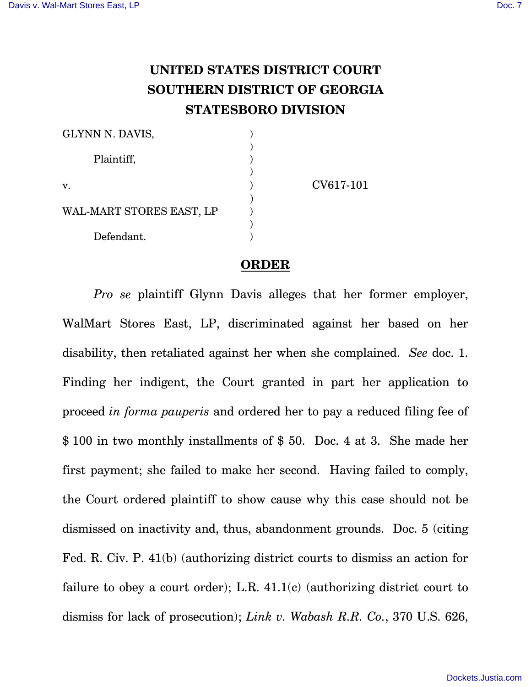## **UNITED STATES DISTRICT COURT SOUTHERN DISTRICT OF GEORGIA STATESBORO DIVISION**

| GLYNN N. DAVIS,          |           |
|--------------------------|-----------|
| Plaintiff,               |           |
| v.                       | CV617-101 |
| WAL-MART STORES EAST, LP |           |
| Defendant.               |           |

## **ORDER**

*Pro se* plaintiff Glynn Davis alleges that her former employer, WalMart Stores East, LP, discriminated against her based on her disability, then retaliated against her when she complained. *See* doc. 1. Finding her indigent, the Court granted in part her application to proceed *in forma pauperis* and ordered her to pay a reduced filing fee of \$ 100 in two monthly installments of \$ 50. Doc. 4 at 3. She made her first payment; she failed to make her second. Having failed to comply, the Court ordered plaintiff to show cause why this case should not be dismissed on inactivity and, thus, abandonment grounds. Doc. 5 (citing Fed. R. Civ. P. 41(b) (authorizing district courts to dismiss an action for failure to obey a court order); L.R.  $41.1(c)$  (authorizing district court to dismiss for lack of prosecution); *Link v. Wabash R.R. Co.*, 370 U.S. 626,